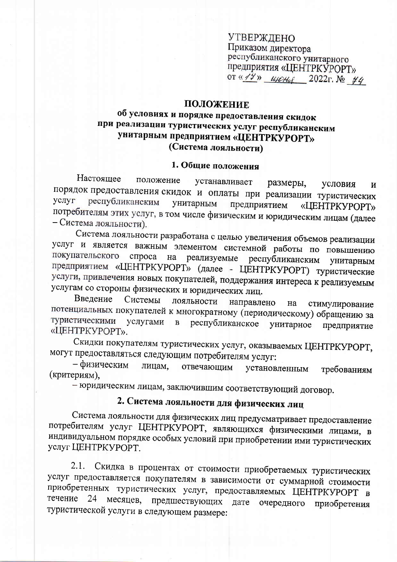УТВЕРЖДЕНО Приказом директора республиканского унитарного предприятия «ЦЕНТРКУРОРТ» OT «14» *upctut* 2022  $\Gamma$ . No 44

### ПОЛОЖЕНИЕ

### об условиях и порядке предоставления скидок при реализации туристических услуг республиканским унитарным предприятием «ЦЕНТРКУРОРТ» (Система лояльности)

### 1. Общие положения

Настоящее положение устанавливает размеры, условия  $\mathbf{M}$ порядок предоставления скидок и оплаты при реализации туристических республиканским услуг унитарным предприятием «ЦЕНТРКУРОРТ» потребителям этих услуг, в том числе физическим и юридическим лицам (далее - Система лояльности).

Система лояльности разработана с целью увеличения объемов реализации услуг и является важным элементом системной работы по повышению покупательского спроса на реализуемые республиканским унитарным предприятием «ЦЕНТРКУРОРТ» (далее - ЦЕНТРКУРОРТ) туристические услуги, привлечения новых покупателей, поддержания интереса к реализуемым услугам со стороны физических и юридических лиц.

Введение Системы лояльности направлено на стимулирование потенциальных покупателей к многократному (периодическому) обращению за туристическими в республиканское услугами унитарное предприятие «ЦЕНТРКУРОРТ».

Скидки покупателям туристических услуг, оказываемых ЦЕНТРКУРОРТ, могут предоставляться следующим потребителям услуг:

- физическим лицам, отвечающим установленным требованиям (критериям),

- юридическим лицам, заключившим соответствующий договор.

# 2. Система лояльности для физических лиц

Система лояльности для физических лиц предусматривает предоставление потребителям услуг ЦЕНТРКУРОРТ, являющихся физическими лицами, в индивидуальном порядке особых условий при приобретении ими туристических услуг ЦЕНТРКУРОРТ.

Скидка в процентах от стоимости приобретаемых туристических  $2.1.$ услуг предоставляется покупателям в зависимости от суммарной стоимости приобретенных туристических услуг, предоставляемых ЦЕНТРКУРОРТ в течение 24 месяцев, предшествующих дате очередного приобретения туристической услуги в следующем размере: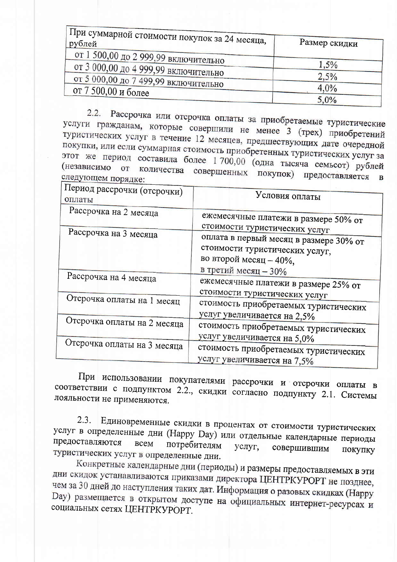| <sub>і</sub> При суммарной стоимости покупок за 24 месяца,<br>рублей | Размер скидки |
|----------------------------------------------------------------------|---------------|
| от 1 500,00 до 2 999,99 включительно                                 |               |
| от 3 000,00 до 4 999,99 включительно                                 | 1,5%          |
| от 5 000,00 до 7 499,99 включительно                                 | 2,5%          |
| от 7 500,00 и более                                                  | 4,0%          |
|                                                                      | 5,0%          |

Рассрочка или отсрочка оплаты за приобретаемые туристические  $2.2.$ услуги гражданам, которые совершили не менее 3 (трех) приобретений туристических услуг в течение 12 месяцев, предшествующих дате очередной покупки, или если суммарная стоимость приобретенных туристических услуг за этот же период составила более 1 700,00 (одна тысяча семьсот) рублей (независимо от количества совершенных покупок) предоставляется следующем порядке:  $\mathbf{B}$ 

| Период рассрочки (отсрочки)<br>оплаты | Условия оплаты                                                                                            |
|---------------------------------------|-----------------------------------------------------------------------------------------------------------|
| Рассрочка на 2 месяца                 | ежемесячные платежи в размере 50% от                                                                      |
| Рассрочка на 3 месяца                 | стоимости туристических услуг<br>оплата в первый месяц в размере 30% от<br>стоимости туристических услуг, |
| Рассрочка на 4 месяца                 | во второй месяц - 40%,<br>в третий месяц - 30%<br>ежемесячные платежи в размере 25% от                    |
| Отсрочка оплаты на 1 месяц            | стоимости туристических услуг<br>стоимость приобретаемых туристических                                    |
| Отсрочка оплаты на 2 месяца           | услуг увеличивается на 2,5%<br>стоимость приобретаемых туристических                                      |
| Отсрочка оплаты на 3 месяца           | услуг увеличивается на 5,0%<br>стоимость приобретаемых туристических<br>услуг увеличивается на 7,5%       |

При использовании покупателями рассрочки и отсрочки оплаты в соответствии с подпунктом 2.2., скидки согласно подпункту 2.1. Системы лояльности не применяются.

Единовременные скидки в процентах от стоимости туристических  $2.3.$ услуг в определенные дни (Happy Day) или отдельные календарные периоды предоставляются всем потребителям услуг. совершившим ПОКУПКУ туристических услуг в определенные дни.

Конкретные календарные дни (периоды) и размеры предоставляемых в эти дни скидок устанавливаются приказами директора ЦЕНТРКУРОРТ не позднее, чем за 30 дней до наступления таких дат. Информация о разовых скидках (Нарру Day) размещается в открытом доступе на официальных интернет-ресурсах и социальных сетях ЦЕНТРКУРОРТ.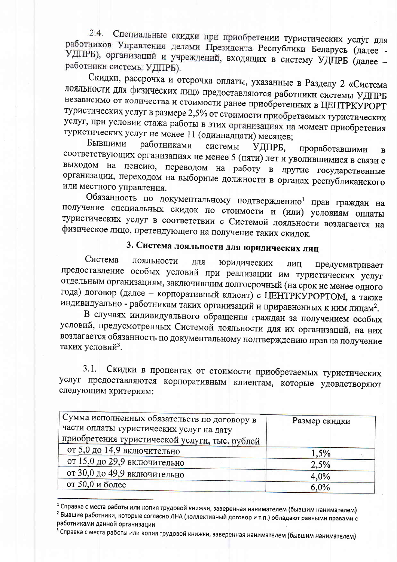2.4. Специальные скидки при приобретении туристических услуг для работников Управления делами Президента Республики Беларусь (далее -УДПРБ), организаций и учреждений, входящих в систему УДПРБ (далее работники системы УДПРБ).

Скидки, рассрочка и отсрочка оплаты, указанные в Разделу 2 «Система лояльности для физических лиц» предоставляются работники системы УДПРБ независимо от количества и стоимости ранее приобретенных в ЦЕНТРКУРОРТ туристических услуг в размере 2,5% от стоимости приобретаемых туристических услуг, при условии стажа работы в этих организациях на момент приобретения туристических услуг не менее 11 (одиннадцати) месяцев;

Бывшими работниками системы УДПРБ. проработавшими  $\overline{B}$ соответствующих организациях не менее 5 (пяти) лет и уволившимися в связи с выходом на пенсию, переводом на работу в другие государственные организации, переходом на выборные должности в органах республиканского или местного управления.

Обязанность по документальному подтверждению<sup>1</sup> прав граждан на получение специальных скидок по стоимости и (или) условиям оплаты туристических услуг в соответствии с Системой лояльности возлагается на физическое лицо, претендующего на получение таких скидок.

# 3. Система лояльности для юридических лиц

Система лояльности ДЛЯ юридических ЛИЦ предусматривает предоставление особых условий при реализации им туристических услуг отдельным организациям, заключившим долгосрочный (на срок не менее одного года) договор (далее - корпоративный клиент) с ЦЕНТРКУРОРТОМ, а также индивидуально - работникам таких организаций и приравненных к ним лицам<sup>2</sup>.

В случаях индивидуального обращения граждан за получением особых условий, предусмотренных Системой лояльности для их организаций, на них возлагается обязанность по документальному подтверждению прав на получение таких условий<sup>3</sup>.

 $3.1.$ Скидки в процентах от стоимости приобретаемых туристических услуг предоставляются корпоративным клиентам, которые удовлетворяют следующим критериям:

| Сумма исполненных обязательств по договору в   | Размер скидки |
|------------------------------------------------|---------------|
| части оплаты туристических услуг на дату       |               |
| приобретения туристической услуги, тыс. рублей |               |
| от 5,0 до 14,9 включительно                    | 1,5%          |
| от 15,0 до 29,9 включительно                   | 2,5%          |
| от 30,0 до 49,9 включительно                   | 4,0%          |
| от 50,0 и более                                | 6,0%          |

<sup>&</sup>lt;sup>1</sup> Справка с места работы или копия трудовой книжки, заверенная нанимателем (бывшим нанимателем) <sup>2</sup> Бывшие работники, которые согласно ЛНА (коллективный договор и т.п.) обладают равными правами с работниками данной организации

<sup>&</sup>lt;sup>з</sup> Справка с места работы или копия трудовой книжки, заверенная нанимателем (бывшим нанимателем)